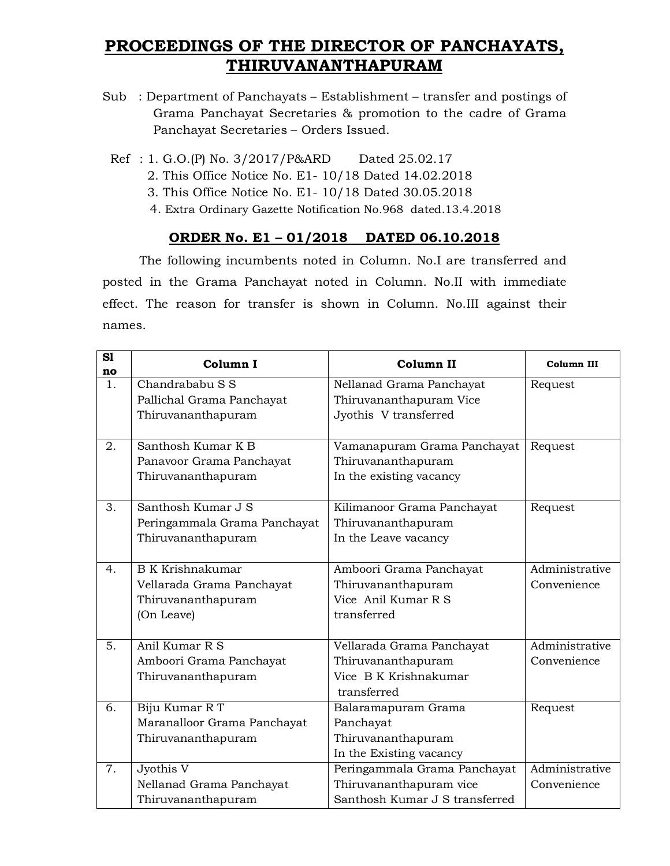## **PROCEEDINGS OF THE DIRECTOR OF PANCHAYATS, THIRUVANANTHAPURAM**

- Sub : Department of Panchayats Establishment transfer and postings of Grama Panchayat Secretaries & promotion to the cadre of Grama Panchayat Secretaries – Orders Issued.
	- Ref : 1. G.O.(P) No. 3/2017/P&ARD Dated 25.02.17
		- 2. This Office Notice No. E1- 10/18 Dated 14.02.2018
		- 3. This Office Notice No. E1- 10/18 Dated 30.05.2018
		- 4. Extra Ordinary Gazette Notification No.968 dated.13.4.2018

## **ORDER No. E1 – 01/2018 DATED 06.10.2018**

The following incumbents noted in Column. No.I are transferred and posted in the Grama Panchayat noted in Column. No.II with immediate effect. The reason for transfer is shown in Column. No.III against their names.

| S1<br>no       | Column I                     | Column II                                      | Column III     |
|----------------|------------------------------|------------------------------------------------|----------------|
| 1.             | Chandrababu S S              | Nellanad Grama Panchayat                       | Request        |
|                | Pallichal Grama Panchayat    | Thiruvananthapuram Vice                        |                |
|                | Thiruvananthapuram           | Jyothis V transferred                          |                |
|                |                              | Request                                        |                |
| 2.             | Santhosh Kumar K B           | Vamanapuram Grama Panchayat                    |                |
|                | Panavoor Grama Panchayat     | Thiruvananthapuram                             |                |
|                | Thiruvananthapuram           | In the existing vacancy                        |                |
| 3.             | Santhosh Kumar J S           | Kilimanoor Grama Panchayat                     | Request        |
|                | Peringammala Grama Panchayat | Thiruvananthapuram                             |                |
|                | Thiruvananthapuram           | In the Leave vacancy                           |                |
|                |                              |                                                |                |
| 4 <sub>1</sub> | <b>B</b> K Krishnakumar      | Amboori Grama Panchayat                        | Administrative |
|                | Vellarada Grama Panchayat    | Thiruvananthapuram                             | Convenience    |
|                | Thiruvananthapuram           | Vice Anil Kumar R S                            |                |
|                | (On Leave)                   | transferred                                    |                |
|                |                              |                                                |                |
| 5.             | Anil Kumar R S               | Vellarada Grama Panchayat                      | Administrative |
|                | Amboori Grama Panchayat      | Thiruvananthapuram                             | Convenience    |
|                | Thiruvananthapuram           | Vice B K Krishnakumar                          |                |
|                |                              | transferred                                    |                |
| 6.             | Biju Kumar R T               | Balaramapuram Grama<br>Request                 |                |
|                | Maranalloor Grama Panchayat  | Panchayat                                      |                |
|                | Thiruvananthapuram           | Thiruvananthapuram                             |                |
|                |                              | In the Existing vacancy                        |                |
| 7.             | Jyothis V                    | Administrative<br>Peringammala Grama Panchayat |                |
|                | Nellanad Grama Panchayat     | Thiruvananthapuram vice                        | Convenience    |
|                | Thiruvananthapuram           | Santhosh Kumar J S transferred                 |                |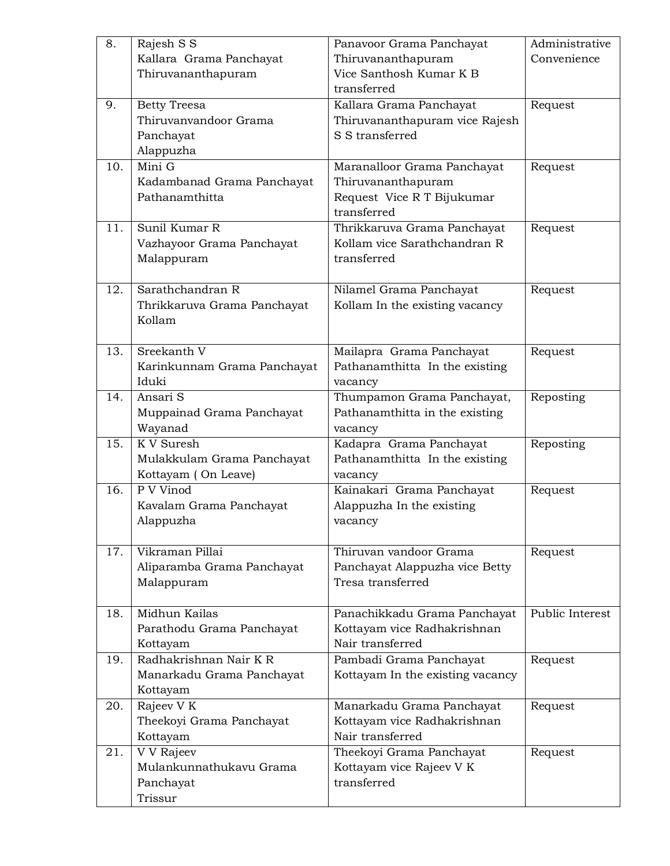| 8.  | Rajesh S S                  | Panavoor Grama Panchayat               | Administrative  |
|-----|-----------------------------|----------------------------------------|-----------------|
|     | Kallara Grama Panchayat     | Thiruvananthapuram                     | Convenience     |
|     | Thiruvananthapuram          | Vice Santhosh Kumar K B                |                 |
|     |                             | transferred                            |                 |
| 9.  | <b>Betty Treesa</b>         | Kallara Grama Panchayat<br>Request     |                 |
|     | Thiruvanvandoor Grama       | Thiruvananthapuram vice Rajesh         |                 |
|     | Panchayat                   | S S transferred                        |                 |
|     | Alappuzha                   |                                        |                 |
| 10. | Mini G                      | Maranalloor Grama Panchayat            | Request         |
|     | Kadambanad Grama Panchayat  | Thiruvananthapuram                     |                 |
|     | Pathanamthitta              | Request Vice R T Bijukumar             |                 |
|     |                             | transferred                            |                 |
| 11. | Sunil Kumar R               | Thrikkaruva Grama Panchayat<br>Request |                 |
|     | Vazhayoor Grama Panchayat   | Kollam vice Sarathchandran R           |                 |
|     | Malappuram                  | transferred                            |                 |
|     |                             |                                        |                 |
| 12. | Sarathchandran R            | Nilamel Grama Panchayat                | Request         |
|     | Thrikkaruva Grama Panchayat | Kollam In the existing vacancy         |                 |
|     | Kollam                      |                                        |                 |
|     |                             |                                        |                 |
| 13. | Sreekanth V                 | Mailapra Grama Panchayat               | Request         |
|     | Karinkunnam Grama Panchayat | Pathanamthitta In the existing         |                 |
|     | Iduki                       | vacancy                                |                 |
| 14. | Ansari S                    | Thumpamon Grama Panchayat,             | Reposting       |
|     | Muppainad Grama Panchayat   | Pathanamthitta in the existing         |                 |
|     | Wayanad                     | vacancy                                |                 |
| 15. | $\overline{K}$ V Suresh     | Kadapra Grama Panchayat                | Reposting       |
|     | Mulakkulam Grama Panchayat  | Pathanamthitta In the existing         |                 |
|     | Kottayam (On Leave)         | vacancy                                |                 |
| 16. | P V Vinod                   | Kainakari Grama Panchayat              | Request         |
|     | Kavalam Grama Panchayat     | Alappuzha In the existing              |                 |
|     | Alappuzha                   | vacancy                                |                 |
|     |                             |                                        |                 |
| 17. | Vikraman Pillai             | Thiruvan vandoor Grama                 | Request         |
|     | Aliparamba Grama Panchayat  | Panchayat Alappuzha vice Betty         |                 |
|     | Malappuram                  | Tresa transferred                      |                 |
|     |                             |                                        |                 |
| 18. | Midhun Kailas               | Panachikkadu Grama Panchayat           | Public Interest |
|     | Parathodu Grama Panchayat   | Kottayam vice Radhakrishnan            |                 |
|     | Kottayam                    | Nair transferred                       |                 |
| 19. | Radhakrishnan Nair K R      | Pambadi Grama Panchayat                | Request         |
|     | Manarkadu Grama Panchayat   | Kottayam In the existing vacancy       |                 |
|     | Kottayam                    |                                        |                 |
| 20. | Rajeev V K                  | Manarkadu Grama Panchayat              | Request         |
|     | Theekoyi Grama Panchayat    | Kottayam vice Radhakrishnan            |                 |
|     | Kottayam                    | Nair transferred                       |                 |
| 21. | V V Rajeev                  | Theekoyi Grama Panchayat               | Request         |
|     | Mulankunnathukavu Grama     | Kottayam vice Rajeev V K               |                 |
|     | Panchayat                   | transferred                            |                 |
|     | Trissur                     |                                        |                 |
|     |                             |                                        |                 |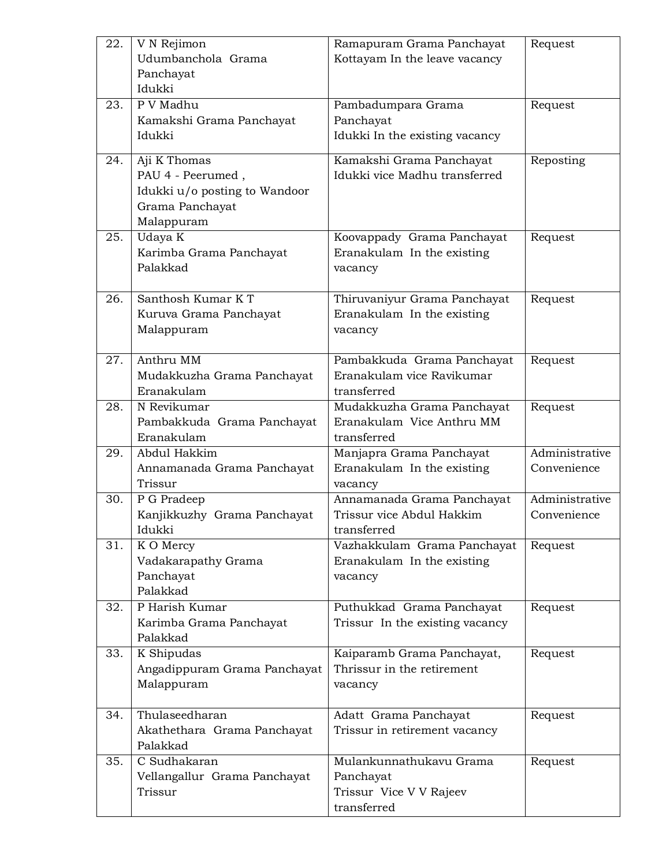| 22. | V N Rejimon                   | Ramapuram Grama Panchayat       | Request        |
|-----|-------------------------------|---------------------------------|----------------|
|     | Udumbanchola Grama            | Kottayam In the leave vacancy   |                |
|     | Panchayat                     |                                 |                |
|     | Idukki                        |                                 |                |
| 23. | P V Madhu                     | Pambadumpara Grama              | Request        |
|     | Kamakshi Grama Panchayat      | Panchayat                       |                |
|     | Idukki                        | Idukki In the existing vacancy  |                |
|     |                               |                                 |                |
| 24. | Aji K Thomas                  | Kamakshi Grama Panchayat        | Reposting      |
|     | PAU 4 - Peerumed,             | Idukki vice Madhu transferred   |                |
|     | Idukki u/o posting to Wandoor |                                 |                |
|     | Grama Panchayat               |                                 |                |
|     | Malappuram                    |                                 |                |
| 25. | Udaya K                       | Koovappady Grama Panchayat      | Request        |
|     | Karimba Grama Panchayat       | Eranakulam In the existing      |                |
|     | Palakkad                      | vacancy                         |                |
|     |                               |                                 |                |
| 26. | Santhosh Kumar KT             | Thiruvaniyur Grama Panchayat    | Request        |
|     | Kuruva Grama Panchayat        | Eranakulam In the existing      |                |
|     | Malappuram                    | vacancy                         |                |
|     |                               |                                 |                |
| 27. | Anthru MM                     | Pambakkuda Grama Panchayat      | Request        |
|     | Mudakkuzha Grama Panchayat    | Eranakulam vice Ravikumar       |                |
|     | Eranakulam                    | transferred                     |                |
| 28. | N Revikumar                   | Mudakkuzha Grama Panchayat      | Request        |
|     | Pambakkuda Grama Panchayat    | Eranakulam Vice Anthru MM       |                |
|     | Eranakulam                    | transferred                     |                |
| 29. | Abdul Hakkim                  | Manjapra Grama Panchayat        | Administrative |
|     | Annamanada Grama Panchayat    | Eranakulam In the existing      | Convenience    |
|     | Trissur                       | vacancy                         |                |
| 30. | P G Pradeep                   | Annamanada Grama Panchayat      | Administrative |
|     | Kanjikkuzhy Grama Panchayat   | Trissur vice Abdul Hakkim       | Convenience    |
|     | Idukki                        | transferred                     |                |
| 31. | K O Mercy                     | Vazhakkulam Grama Panchayat     | Request        |
|     | Vadakarapathy Grama           | Eranakulam In the existing      |                |
|     | Panchayat                     | vacancy                         |                |
|     | Palakkad                      |                                 |                |
| 32. | P Harish Kumar                | Puthukkad Grama Panchayat       | Request        |
|     | Karimba Grama Panchayat       | Trissur In the existing vacancy |                |
|     | Palakkad                      |                                 |                |
| 33. | K Shipudas                    | Kaiparamb Grama Panchayat,      | Request        |
|     | Angadippuram Grama Panchayat  | Thrissur in the retirement      |                |
|     | Malappuram                    | vacancy                         |                |
|     |                               |                                 |                |
| 34. | Thulaseedharan                | Adatt Grama Panchayat           | Request        |
|     | Akathethara Grama Panchayat   | Trissur in retirement vacancy   |                |
|     | Palakkad                      |                                 |                |
| 35. | C Sudhakaran                  | Mulankunnathukavu Grama         | Request        |
|     | Vellangallur Grama Panchayat  | Panchayat                       |                |
|     | Trissur                       | Trissur Vice V V Rajeev         |                |
|     |                               | transferred                     |                |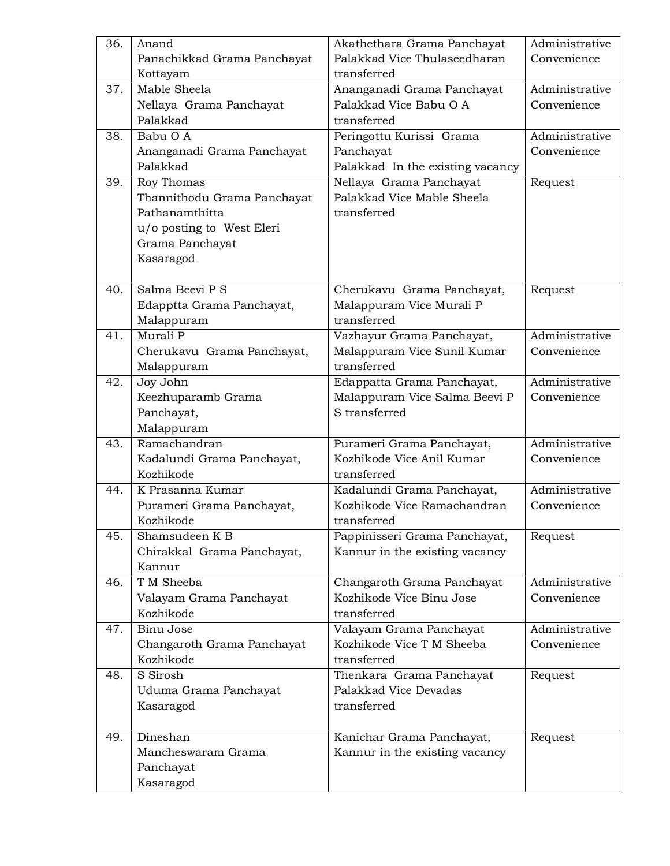| 36. | Anand                       | Akathethara Grama Panchayat      | Administrative |
|-----|-----------------------------|----------------------------------|----------------|
|     | Panachikkad Grama Panchayat | Palakkad Vice Thulaseedharan     | Convenience    |
|     | Kottayam                    | transferred                      |                |
| 37. | Mable Sheela                | Ananganadi Grama Panchayat       | Administrative |
|     | Nellaya Grama Panchayat     | Palakkad Vice Babu O A           | Convenience    |
|     | Palakkad                    | transferred                      |                |
| 38. | Babu O A                    | Peringottu Kurissi Grama         | Administrative |
|     | Ananganadi Grama Panchayat  | Panchayat                        | Convenience    |
|     | Palakkad                    | Palakkad In the existing vacancy |                |
| 39. | Roy Thomas                  | Nellaya Grama Panchayat          | Request        |
|     | Thannithodu Grama Panchayat | Palakkad Vice Mable Sheela       |                |
|     | Pathanamthitta              | transferred                      |                |
|     | u/o posting to West Eleri   |                                  |                |
|     | Grama Panchayat             |                                  |                |
|     | Kasaragod                   |                                  |                |
|     |                             |                                  |                |
| 40. | Salma Beevi P S             | Cherukavu Grama Panchayat,       | Request        |
|     | Edapptta Grama Panchayat,   | Malappuram Vice Murali P         |                |
|     | Malappuram                  | transferred                      |                |
| 41. | Murali P                    | Vazhayur Grama Panchayat,        | Administrative |
|     | Cherukavu Grama Panchayat,  | Malappuram Vice Sunil Kumar      | Convenience    |
|     | Malappuram                  | transferred                      |                |
| 42. | Joy John                    | Edappatta Grama Panchayat,       | Administrative |
|     | Keezhuparamb Grama          | Malappuram Vice Salma Beevi P    | Convenience    |
|     | Panchayat,                  | S transferred                    |                |
|     | Malappuram                  |                                  |                |
| 43. | Ramachandran                | Purameri Grama Panchayat,        | Administrative |
|     | Kadalundi Grama Panchayat,  | Kozhikode Vice Anil Kumar        | Convenience    |
|     | Kozhikode                   | transferred                      |                |
| 44. | K Prasanna Kumar            | Kadalundi Grama Panchayat,       | Administrative |
|     | Purameri Grama Panchayat,   | Kozhikode Vice Ramachandran      | Convenience    |
|     | Kozhikode                   | transferred                      |                |
| 45. | Shamsudeen K B              | Pappinisseri Grama Panchayat,    | Request        |
|     | Chirakkal Grama Panchayat,  | Kannur in the existing vacancy   |                |
|     | Kannur                      |                                  |                |
| 46. | T M Sheeba                  | Changaroth Grama Panchayat       | Administrative |
|     | Valayam Grama Panchayat     | Kozhikode Vice Binu Jose         | Convenience    |
|     | Kozhikode                   | transferred                      |                |
| 47. | <b>Binu Jose</b>            | Valayam Grama Panchayat          | Administrative |
|     | Changaroth Grama Panchayat  | Kozhikode Vice T M Sheeba        | Convenience    |
|     | Kozhikode                   | transferred                      |                |
| 48. | S Sirosh                    | Thenkara Grama Panchayat         | Request        |
|     | Uduma Grama Panchayat       | Palakkad Vice Devadas            |                |
|     | Kasaragod                   | transferred                      |                |
|     |                             |                                  |                |
| 49. | Dineshan                    | Kanichar Grama Panchayat,        | Request        |
|     | Mancheswaram Grama          | Kannur in the existing vacancy   |                |
|     | Panchayat                   |                                  |                |
|     | Kasaragod                   |                                  |                |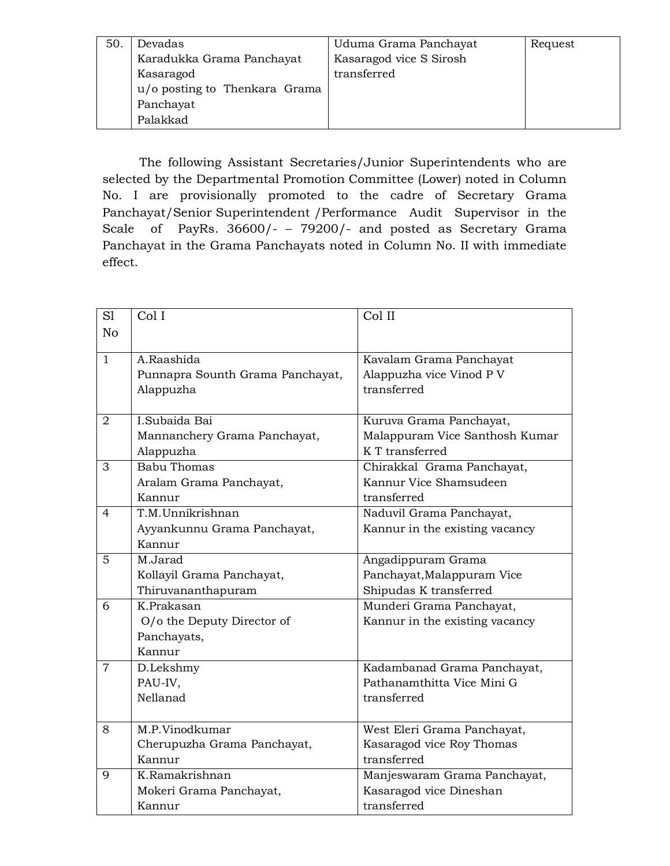| 50 | Devadas                       | Uduma Grama Panchayat   | Request |
|----|-------------------------------|-------------------------|---------|
|    | Karadukka Grama Panchayat     | Kasaragod vice S Sirosh |         |
|    | Kasaragod                     | transferred             |         |
|    | u/o posting to Thenkara Grama |                         |         |
|    | Panchayat                     |                         |         |
|    | Palakkad                      |                         |         |

The following Assistant Secretaries/Junior Superintendents who are selected by the Departmental Promotion Committee (Lower) noted in Column No. I are provisionally promoted to the cadre of Secretary Grama Panchayat/Senior Superintendent /Performance Audit Supervisor in the Scale of PayRs. 36600/- – 79200/- and posted as Secretary Grama Panchayat in the Grama Panchayats noted in Column No. II with immediate effect.

| S1             | Col I                            | Col II                                            |
|----------------|----------------------------------|---------------------------------------------------|
| N <sub>o</sub> |                                  |                                                   |
|                |                                  |                                                   |
| $\mathbf{1}$   | A.Raashida                       | Kavalam Grama Panchayat                           |
|                | Punnapra Sounth Grama Panchayat, | Alappuzha vice Vinod P V                          |
|                | Alappuzha                        | transferred                                       |
| $\overline{2}$ | I.Subaida Bai                    | Kuruva Grama Panchayat,                           |
|                |                                  |                                                   |
|                | Mannanchery Grama Panchayat,     | Malappuram Vice Santhosh Kumar<br>K T transferred |
|                | Alappuzha                        |                                                   |
| 3              | <b>Babu Thomas</b>               | Chirakkal Grama Panchayat,                        |
|                | Aralam Grama Panchayat,          | Kannur Vice Shamsudeen                            |
|                | Kannur                           | transferred                                       |
| $\overline{4}$ | T.M.Unnikrishnan                 | Naduvil Grama Panchayat,                          |
|                | Ayyankunnu Grama Panchayat,      | Kannur in the existing vacancy                    |
|                | Kannur                           |                                                   |
| 5              | M.Jarad                          | Angadippuram Grama                                |
|                | Kollayil Grama Panchayat,        | Panchayat, Malappuram Vice                        |
|                | Thiruvananthapuram               | Shipudas K transferred                            |
| 6              | K.Prakasan                       | Munderi Grama Panchayat,                          |
|                | O/o the Deputy Director of       | Kannur in the existing vacancy                    |
|                | Panchayats,                      |                                                   |
|                | Kannur                           |                                                   |
| $\overline{7}$ | D.Lekshmy                        | Kadambanad Grama Panchayat,                       |
|                | PAU-IV,                          | Pathanamthitta Vice Mini G                        |
|                | Nellanad                         | transferred                                       |
|                |                                  |                                                   |
| 8              | M.P.Vinodkumar                   | West Eleri Grama Panchayat,                       |
|                | Cherupuzha Grama Panchayat,      | Kasaragod vice Roy Thomas                         |
|                | Kannur                           | transferred                                       |
| 9              | K.Ramakrishnan                   | Manjeswaram Grama Panchayat,                      |
|                | Mokeri Grama Panchayat,          | Kasaragod vice Dineshan                           |
|                | Kannur                           | transferred                                       |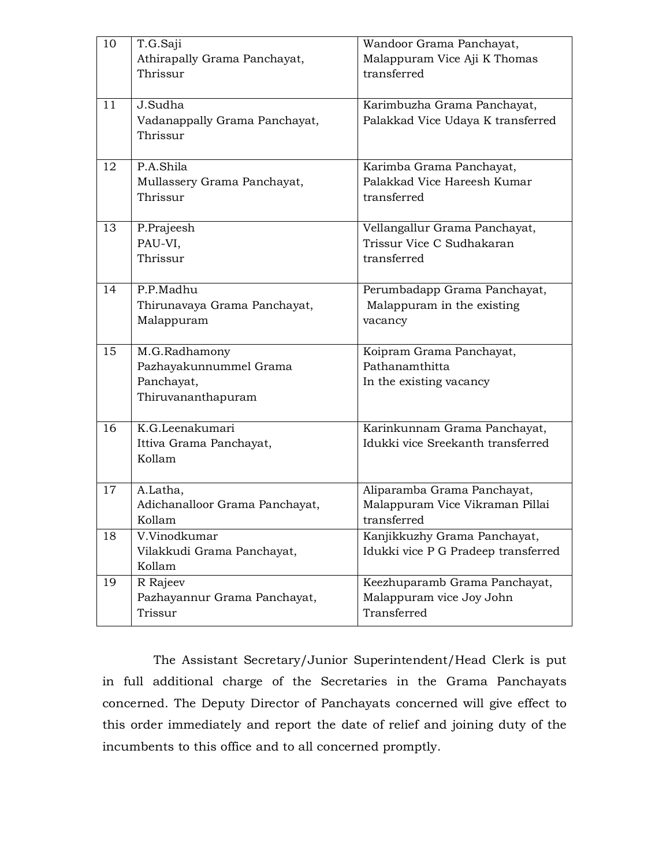| 10 | T.G.Saji<br>Athirapally Grama Panchayat,  | Wandoor Grama Panchayat,<br>Malappuram Vice Aji K Thomas  |
|----|-------------------------------------------|-----------------------------------------------------------|
|    | Thrissur                                  | transferred                                               |
| 11 | J.Sudha                                   | Karimbuzha Grama Panchayat,                               |
|    | Vadanappally Grama Panchayat,<br>Thrissur | Palakkad Vice Udaya K transferred                         |
| 12 | P.A.Shila                                 | Karimba Grama Panchayat,                                  |
|    | Mullassery Grama Panchayat,<br>Thrissur   | Palakkad Vice Hareesh Kumar<br>transferred                |
| 13 | P.Prajeesh                                | Vellangallur Grama Panchayat,                             |
|    | PAU-VI,                                   | Trissur Vice C Sudhakaran                                 |
|    | Thrissur                                  | transferred                                               |
| 14 | P.P.Madhu                                 | Perumbadapp Grama Panchayat,                              |
|    | Thirunavaya Grama Panchayat,              | Malappuram in the existing                                |
|    | Malappuram                                | vacancy                                                   |
| 15 | M.G.Radhamony                             | Koipram Grama Panchayat,                                  |
|    | Pazhayakunnummel Grama                    | Pathanamthitta                                            |
|    | Panchayat,                                | In the existing vacancy                                   |
|    | Thiruvananthapuram                        |                                                           |
| 16 | K.G.Leenakumari                           | Karinkunnam Grama Panchayat,                              |
|    | Ittiva Grama Panchayat,                   | Idukki vice Sreekanth transferred                         |
|    | Kollam                                    |                                                           |
| 17 | A.Latha,                                  | Aliparamba Grama Panchayat,                               |
|    | Adichanalloor Grama Panchayat,            | Malappuram Vice Vikraman Pillai                           |
|    | Kollam                                    | transferred                                               |
| 18 | V.Vinodkumar                              | Kanjikkuzhy Grama Panchayat,                              |
|    | Vilakkudi Grama Panchayat,                | Idukki vice P G Pradeep transferred                       |
|    | Kollam                                    |                                                           |
| 19 | R Rajeev<br>Pazhayannur Grama Panchayat,  | Keezhuparamb Grama Panchayat,<br>Malappuram vice Joy John |
|    | Trissur                                   | Transferred                                               |
|    |                                           |                                                           |

The Assistant Secretary/Junior Superintendent/Head Clerk is put in full additional charge of the Secretaries in the Grama Panchayats concerned. The Deputy Director of Panchayats concerned will give effect to this order immediately and report the date of relief and joining duty of the incumbents to this office and to all concerned promptly.